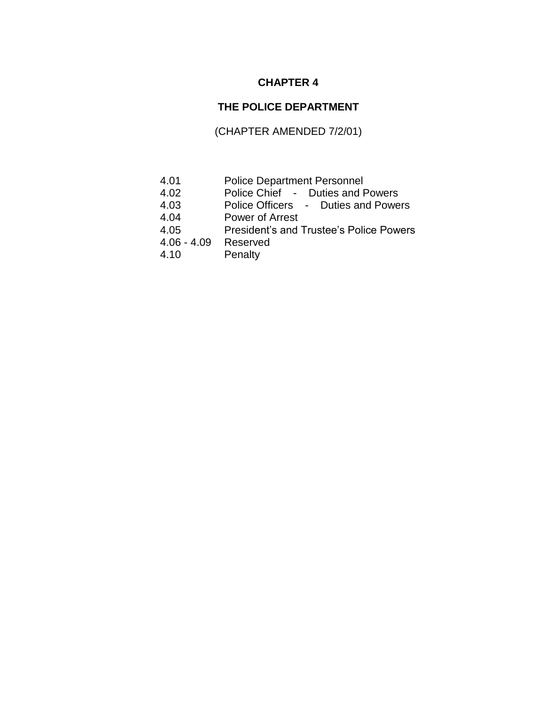## **CHAPTER 4**

## **THE POLICE DEPARTMENT**

# (CHAPTER AMENDED 7/2/01)

- 4.01 Police Department Personnel
- 4.02 Police Chief Duties and Powers
- 4.03 Police Officers Duties and Powers
- 4.04 Power of Arrest
- 4.05 President's and Trustee's Police Powers
- 4.06 4.09 Reserved
- 4.10 Penalty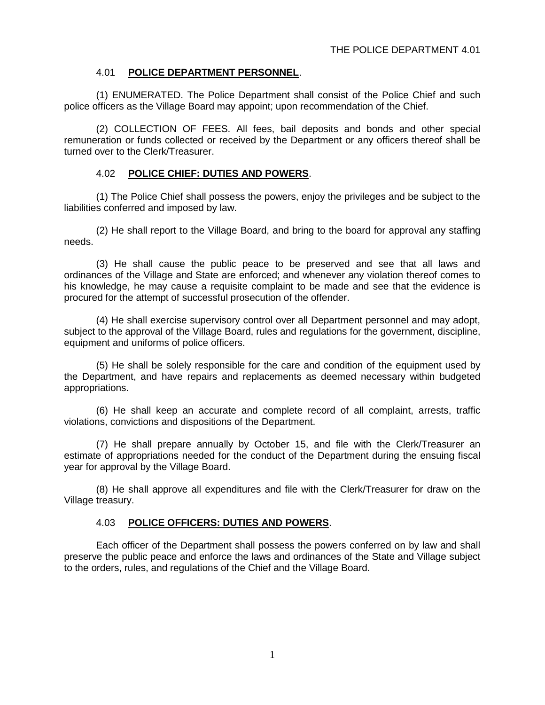### 4.01 **POLICE DEPARTMENT PERSONNEL**.

(1) ENUMERATED. The Police Department shall consist of the Police Chief and such police officers as the Village Board may appoint; upon recommendation of the Chief.

(2) COLLECTION OF FEES. All fees, bail deposits and bonds and other special remuneration or funds collected or received by the Department or any officers thereof shall be turned over to the Clerk/Treasurer.

#### 4.02 **POLICE CHIEF: DUTIES AND POWERS**.

(1) The Police Chief shall possess the powers, enjoy the privileges and be subject to the liabilities conferred and imposed by law.

(2) He shall report to the Village Board, and bring to the board for approval any staffing needs.

(3) He shall cause the public peace to be preserved and see that all laws and ordinances of the Village and State are enforced; and whenever any violation thereof comes to his knowledge, he may cause a requisite complaint to be made and see that the evidence is procured for the attempt of successful prosecution of the offender.

(4) He shall exercise supervisory control over all Department personnel and may adopt, subject to the approval of the Village Board, rules and regulations for the government, discipline, equipment and uniforms of police officers.

(5) He shall be solely responsible for the care and condition of the equipment used by the Department, and have repairs and replacements as deemed necessary within budgeted appropriations.

(6) He shall keep an accurate and complete record of all complaint, arrests, traffic violations, convictions and dispositions of the Department.

(7) He shall prepare annually by October 15, and file with the Clerk/Treasurer an estimate of appropriations needed for the conduct of the Department during the ensuing fiscal year for approval by the Village Board.

(8) He shall approve all expenditures and file with the Clerk/Treasurer for draw on the Village treasury.

#### 4.03 **POLICE OFFICERS: DUTIES AND POWERS**.

Each officer of the Department shall possess the powers conferred on by law and shall preserve the public peace and enforce the laws and ordinances of the State and Village subject to the orders, rules, and regulations of the Chief and the Village Board.